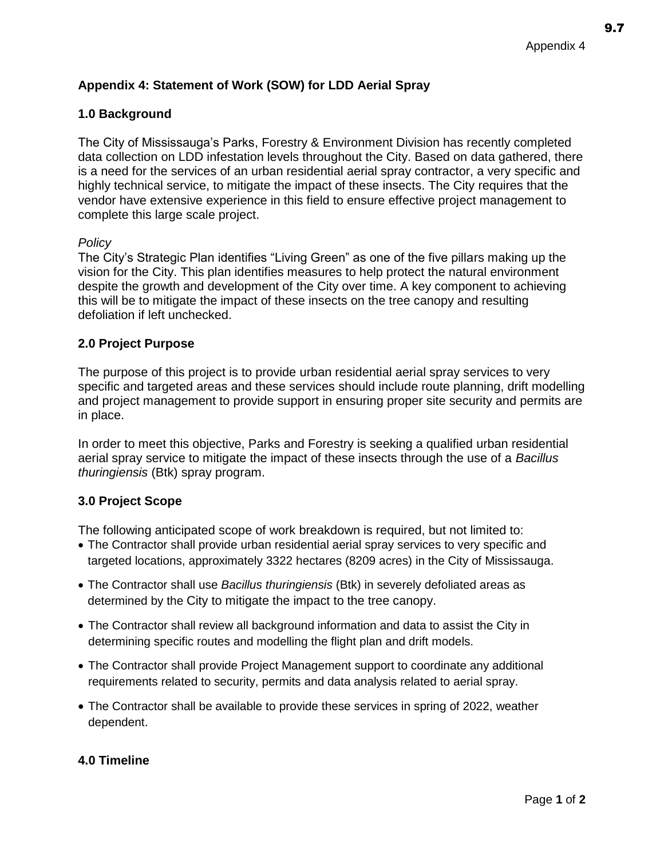# **Appendix 4: Statement of Work (SOW) for LDD Aerial Spray**

## **1.0 Background**

The City of Mississauga's Parks, Forestry & Environment Division has recently completed data collection on LDD infestation levels throughout the City. Based on data gathered, there is a need for the services of an urban residential aerial spray contractor, a very specific and highly technical service, to mitigate the impact of these insects. The City requires that the vendor have extensive experience in this field to ensure effective project management to complete this large scale project.

### *Policy*

The City's Strategic Plan identifies "Living Green" as one of the five pillars making up the vision for the City. This plan identifies measures to help protect the natural environment despite the growth and development of the City over time. A key component to achieving this will be to mitigate the impact of these insects on the tree canopy and resulting defoliation if left unchecked.

### **2.0 Project Purpose**

The purpose of this project is to provide urban residential aerial spray services to very specific and targeted areas and these services should include route planning, drift modelling and project management to provide support in ensuring proper site security and permits are in place.

In order to meet this objective, Parks and Forestry is seeking a qualified urban residential aerial spray service to mitigate the impact of these insects through the use of a *Bacillus thuringiensis* (Btk) spray program.

## **3.0 Project Scope**

The following anticipated scope of work breakdown is required, but not limited to:

- The Contractor shall provide urban residential aerial spray services to very specific and targeted locations, approximately 3322 hectares (8209 acres) in the City of Mississauga.
- The Contractor shall use *Bacillus thuringiensis* (Btk) in severely defoliated areas as determined by the City to mitigate the impact to the tree canopy.
- The Contractor shall review all background information and data to assist the City in determining specific routes and modelling the flight plan and drift models.
- The Contractor shall provide Project Management support to coordinate any additional requirements related to security, permits and data analysis related to aerial spray.
- The Contractor shall be available to provide these services in spring of 2022, weather dependent.

## **4.0 Timeline**